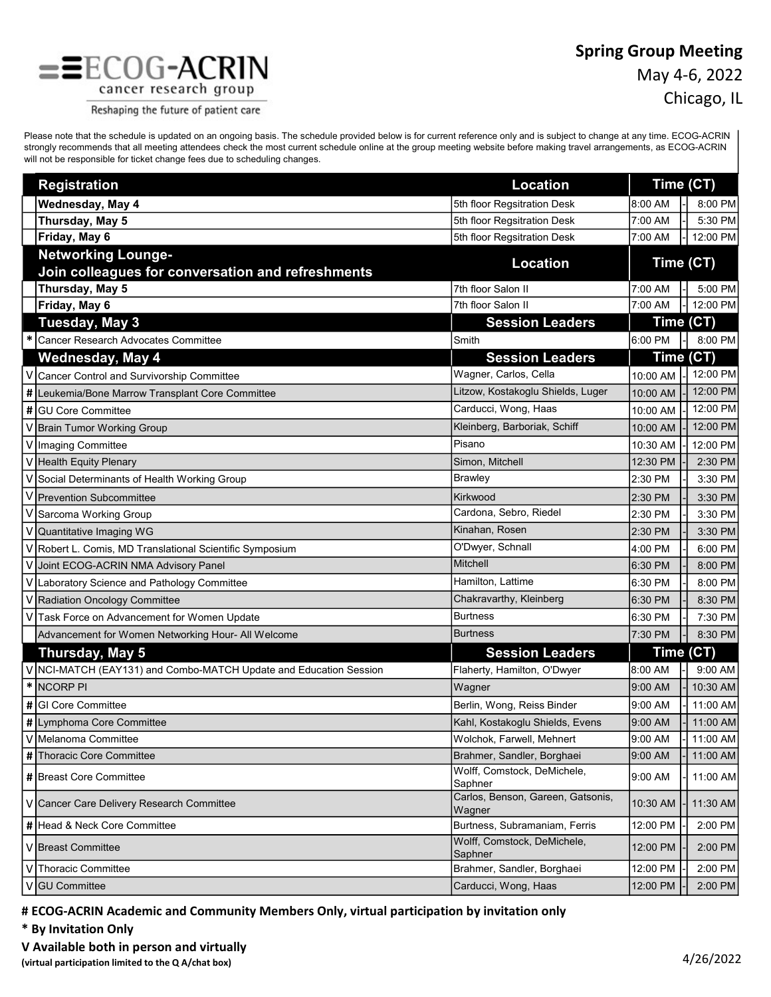## Spring Group Meeting



May 4-6, 2022

Chicago, IL

Reshaping the future of patient care

Please note that the schedule is updated on an ongoing basis. The schedule provided below is for current reference only and is subject to change at any time. ECOG-ACRIN strongly recommends that all meeting attendees check the most current schedule online at the group meeting website before making travel arrangements, as ECOG-ACRIN will not be responsible for ticket change fees due to scheduling changes.

|   | <b>Registration</b>                                                            | <b>Location</b>                             |           | Time (CT) |          |
|---|--------------------------------------------------------------------------------|---------------------------------------------|-----------|-----------|----------|
|   | Wednesday, May 4                                                               | 5th floor Regsitration Desk                 | 8:00 AM   |           | 8:00 PM  |
|   | Thursday, May 5                                                                | 5th floor Regsitration Desk                 | 7:00 AM   |           | 5:30 PM  |
|   | Friday, May 6                                                                  | 5th floor Regsitration Desk                 | 7:00 AM   |           | 12:00 PM |
|   | <b>Networking Lounge-</b><br>Join colleagues for conversation and refreshments | <b>Location</b>                             | Time (CT) |           |          |
|   | Thursday, May 5                                                                | 7th floor Salon II                          | 7:00 AM   |           | 5:00 PM  |
|   | Friday, May 6                                                                  | 7th floor Salon II                          | 7:00 AM   |           | 12:00 PM |
|   | Tuesday, May 3                                                                 | <b>Session Leaders</b>                      | Time (CT) |           |          |
|   | Cancer Research Advocates Committee                                            | Smith                                       | 6:00 PM   |           | 8:00 PM  |
|   | <b>Wednesday, May 4</b>                                                        | <b>Session Leaders</b>                      | Time (CT) |           |          |
|   | Cancer Control and Survivorship Committee                                      | Wagner, Carlos, Cella                       | 10:00 AM  |           | 12:00 PM |
| # | Leukemia/Bone Marrow Transplant Core Committee                                 | Litzow, Kostakoglu Shields, Luger           | 10:00 AM  |           | 12:00 PM |
| # | <b>GU Core Committee</b>                                                       | Carducci, Wong, Haas                        | 10:00 AM  |           | 12:00 PM |
|   | <b>Brain Tumor Working Group</b>                                               | Kleinberg, Barboriak, Schiff                | 10:00 AM  |           | 12:00 PM |
|   | Imaging Committee                                                              | Pisano                                      | 10:30 AM  |           | 12:00 PM |
|   | <b>Health Equity Plenary</b>                                                   | Simon, Mitchell                             | 12:30 PM  |           | 2:30 PM  |
|   | Social Determinants of Health Working Group                                    | Brawley                                     | 2:30 PM   |           | 3:30 PM  |
|   | <b>Prevention Subcommittee</b>                                                 | Kirkwood                                    | 2:30 PM   |           | 3:30 PM  |
|   | Sarcoma Working Group                                                          | Cardona, Sebro, Riedel                      | 2:30 PM   |           | 3:30 PM  |
|   | Quantitative Imaging WG                                                        | Kinahan, Rosen                              | 2:30 PM   |           | 3:30 PM  |
|   | Robert L. Comis, MD Translational Scientific Symposium                         | O'Dwyer, Schnall                            | 4:00 PM   |           | 6:00 PM  |
|   | Joint ECOG-ACRIN NMA Advisory Panel                                            | <b>Mitchell</b>                             | 6:30 PM   |           | 8:00 PM  |
|   | Laboratory Science and Pathology Committee                                     | Hamilton, Lattime                           | 6:30 PM   |           | 8:00 PM  |
|   | Radiation Oncology Committee                                                   | Chakravarthy, Kleinberg                     | 6:30 PM   |           | 8:30 PM  |
|   | Task Force on Advancement for Women Update                                     | Burtness                                    | 6:30 PM   |           | 7:30 PM  |
|   | Advancement for Women Networking Hour- All Welcome                             | <b>Burtness</b>                             | 7:30 PM   |           | 8:30 PM  |
|   | Thursday, May 5                                                                | <b>Session Leaders</b>                      | Time (CT) |           |          |
|   | NCI-MATCH (EAY131) and Combo-MATCH Update and Education Session                | Flaherty, Hamilton, O'Dwyer                 | 8:00 AM   |           | 9:00 AM  |
| * | <b>NCORP PI</b>                                                                | Wagner                                      | 9:00 AM   |           | 10:30 AM |
| # | GI Core Committee                                                              | Berlin, Wong, Reiss Binder                  | 9:00 AM   |           | 11:00 AM |
| # | Lymphoma Core Committee                                                        | Kahl, Kostakoglu Shields, Evens             | 9:00 AM   |           | 11:00 AM |
|   | V  Melanoma Committee                                                          | Wolchok, Farwell, Mehnert                   | 9:00 AM   |           | 11:00 AM |
| # | Thoracic Core Committee                                                        | Brahmer, Sandler, Borghaei                  | 9:00 AM   |           | 11:00 AM |
|   | # Breast Core Committee                                                        | Wolff, Comstock, DeMichele,<br>Saphner      | 9:00 AM   |           | 11:00 AM |
|   | V Cancer Care Delivery Research Committee                                      | Carlos, Benson, Gareen, Gatsonis,<br>Wagner | 10:30 AM  |           | 11:30 AM |
|   | # Head & Neck Core Committee                                                   | Burtness, Subramaniam, Ferris               | 12:00 PM  |           | 2:00 PM  |
|   | V Breast Committee                                                             | Wolff, Comstock, DeMichele,<br>Saphner      | 12:00 PM  |           | 2:00 PM  |
|   | Thoracic Committee                                                             | Brahmer, Sandler, Borghaei                  | 12:00 PM  |           | 2:00 PM  |
|   | <b>GU Committee</b>                                                            | Carducci, Wong, Haas                        | 12:00 PM  |           | 2:00 PM  |

# ECOG-ACRIN Academic and Community Members Only, virtual participation by invitation only

- \* By Invitation Only
- V Available both in person and virtually

(virtual participation limited to the Q A/chat box) 4/26/2022